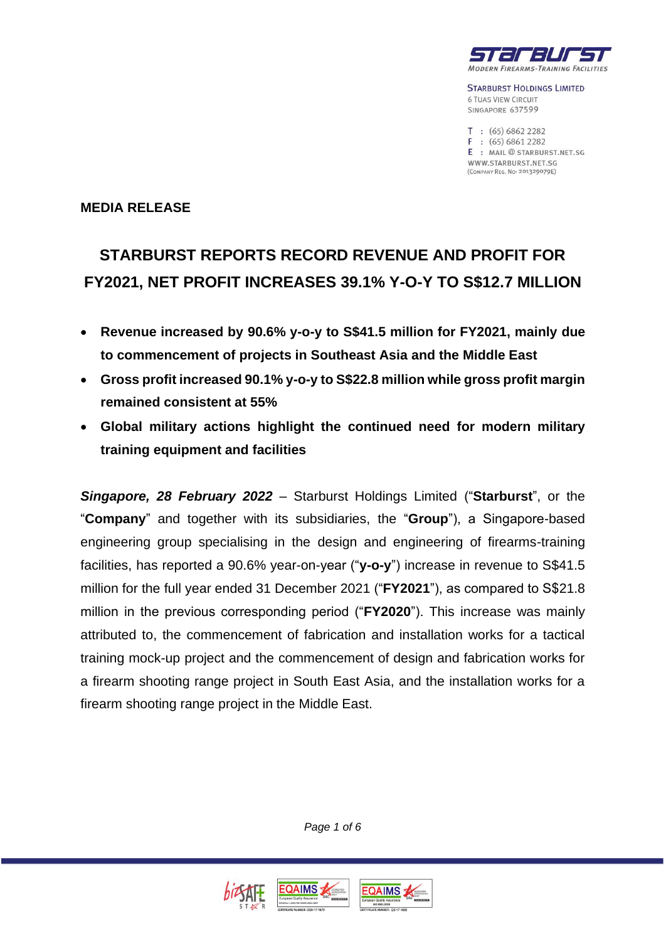

**STARBURST HOLDINGS LIMITED 6 TUAS VIEW CIRCUIT** SINGAPORE 637599

 $T : (65) 6862 2282$  $F: (65) 6861 2282$ E : MAIL@STARBURST.NET.SG WWW.STARBURST.NET.SG (COMPANY REG. No: 201329079E)

#### **MEDIA RELEASE**

# **STARBURST REPORTS RECORD REVENUE AND PROFIT FOR FY2021, NET PROFIT INCREASES 39.1% Y-O-Y TO S\$12.7 MILLION**

- **Revenue increased by 90.6% y-o-y to S\$41.5 million for FY2021, mainly due to commencement of projects in Southeast Asia and the Middle East**
- **Gross profit increased 90.1% y-o-y to S\$22.8 million while gross profit margin remained consistent at 55%**
- **Global military actions highlight the continued need for modern military training equipment and facilities**

*Singapore, 28 February 2022* – Starburst Holdings Limited ("**Starburst**", or the "**Company**" and together with its subsidiaries, the "**Group**"), a Singapore-based engineering group specialising in the design and engineering of firearms-training facilities, has reported a 90.6% year-on-year ("**y-o-y**") increase in revenue to S\$41.5 million for the full year ended 31 December 2021 ("**FY2021**"), as compared to S\$21.8 million in the previous corresponding period ("**FY2020**"). This increase was mainly attributed to, the commencement of fabrication and installation works for a tactical training mock-up project and the commencement of design and fabrication works for a firearm shooting range project in South East Asia, and the installation works for a firearm shooting range project in the Middle East.

*Page 1 of 6*

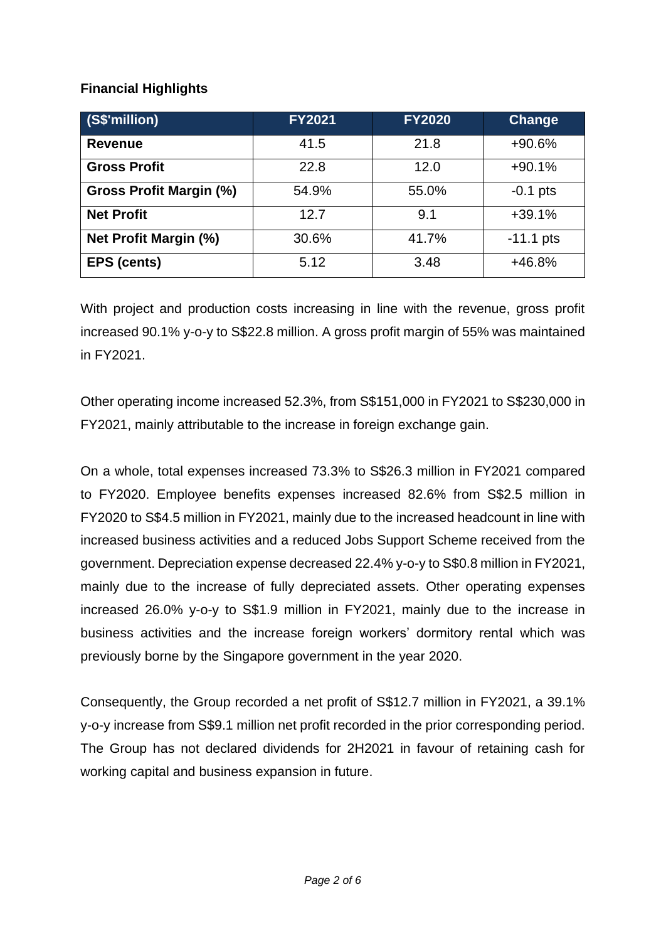## **Financial Highlights**

| (S\$'million)                | <b>FY2021</b> | <b>FY2020</b> | Change      |
|------------------------------|---------------|---------------|-------------|
| <b>Revenue</b>               | 41.5          | 21.8          | $+90.6%$    |
| <b>Gross Profit</b>          | 22.8          | 12.0          | $+90.1%$    |
| Gross Profit Margin (%)      | 54.9%         | 55.0%         | $-0.1$ pts  |
| <b>Net Profit</b>            | 12.7          | 9.1           | $+39.1%$    |
| <b>Net Profit Margin (%)</b> | 30.6%         | 41.7%         | $-11.1$ pts |
| <b>EPS (cents)</b>           | 5.12          | 3.48          | +46.8%      |

With project and production costs increasing in line with the revenue, gross profit increased 90.1% y-o-y to S\$22.8 million. A gross profit margin of 55% was maintained in FY2021.

Other operating income increased 52.3%, from S\$151,000 in FY2021 to S\$230,000 in FY2021, mainly attributable to the increase in foreign exchange gain.

On a whole, total expenses increased 73.3% to S\$26.3 million in FY2021 compared to FY2020. Employee benefits expenses increased 82.6% from S\$2.5 million in FY2020 to S\$4.5 million in FY2021, mainly due to the increased headcount in line with increased business activities and a reduced Jobs Support Scheme received from the government. Depreciation expense decreased 22.4% y-o-y to S\$0.8 million in FY2021, mainly due to the increase of fully depreciated assets. Other operating expenses increased 26.0% y-o-y to S\$1.9 million in FY2021, mainly due to the increase in business activities and the increase foreign workers' dormitory rental which was previously borne by the Singapore government in the year 2020.

Consequently, the Group recorded a net profit of S\$12.7 million in FY2021, a 39.1% y-o-y increase from S\$9.1 million net profit recorded in the prior corresponding period. The Group has not declared dividends for 2H2021 in favour of retaining cash for working capital and business expansion in future.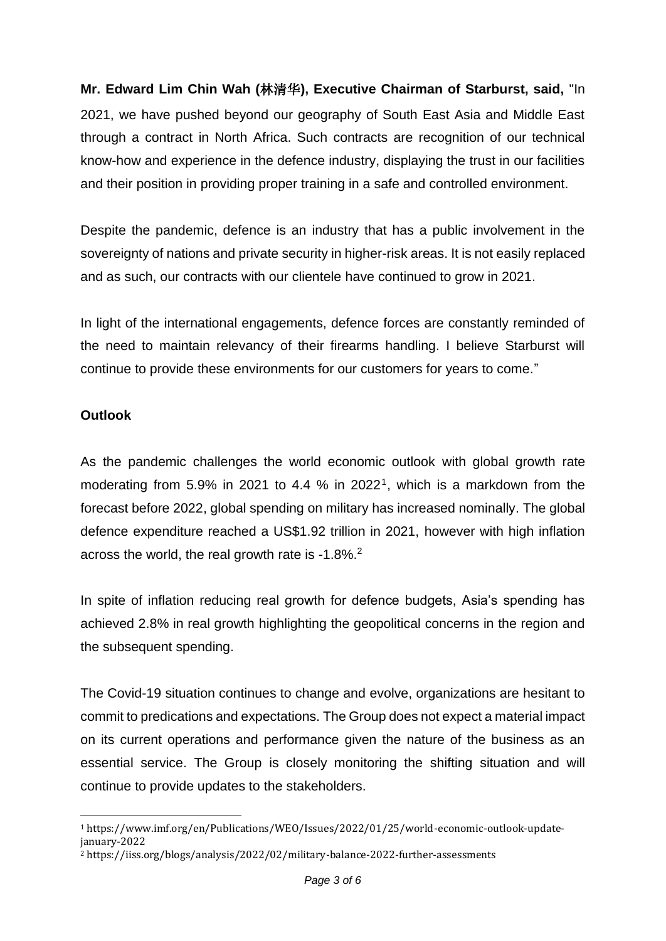**Mr. Edward Lim Chin Wah (**林清华**), Executive Chairman of Starburst, said,** "In 2021, we have pushed beyond our geography of South East Asia and Middle East through a contract in North Africa. Such contracts are recognition of our technical know-how and experience in the defence industry, displaying the trust in our facilities and their position in providing proper training in a safe and controlled environment.

Despite the pandemic, defence is an industry that has a public involvement in the sovereignty of nations and private security in higher-risk areas. It is not easily replaced and as such, our contracts with our clientele have continued to grow in 2021.

In light of the international engagements, defence forces are constantly reminded of the need to maintain relevancy of their firearms handling. I believe Starburst will continue to provide these environments for our customers for years to come."

#### **Outlook**

As the pandemic challenges the world economic outlook with global growth rate moderating from 5.9% in 2021 to 4.4 % in 2022<sup>1</sup>, which is a markdown from the forecast before 2022, global spending on military has increased nominally. The global defence expenditure reached a US\$1.92 trillion in 2021, however with high inflation across the world, the real growth rate is -1.8%.<sup>2</sup>

In spite of inflation reducing real growth for defence budgets, Asia's spending has achieved 2.8% in real growth highlighting the geopolitical concerns in the region and the subsequent spending.

The Covid-19 situation continues to change and evolve, organizations are hesitant to commit to predications and expectations. The Group does not expect a material impact on its current operations and performance given the nature of the business as an essential service. The Group is closely monitoring the shifting situation and will continue to provide updates to the stakeholders.

<sup>1</sup> https://www.imf.org/en/Publications/WEO/Issues/2022/01/25/world-economic-outlook-updatejanuary-2022

<sup>2</sup> https://iiss.org/blogs/analysis/2022/02/military-balance-2022-further-assessments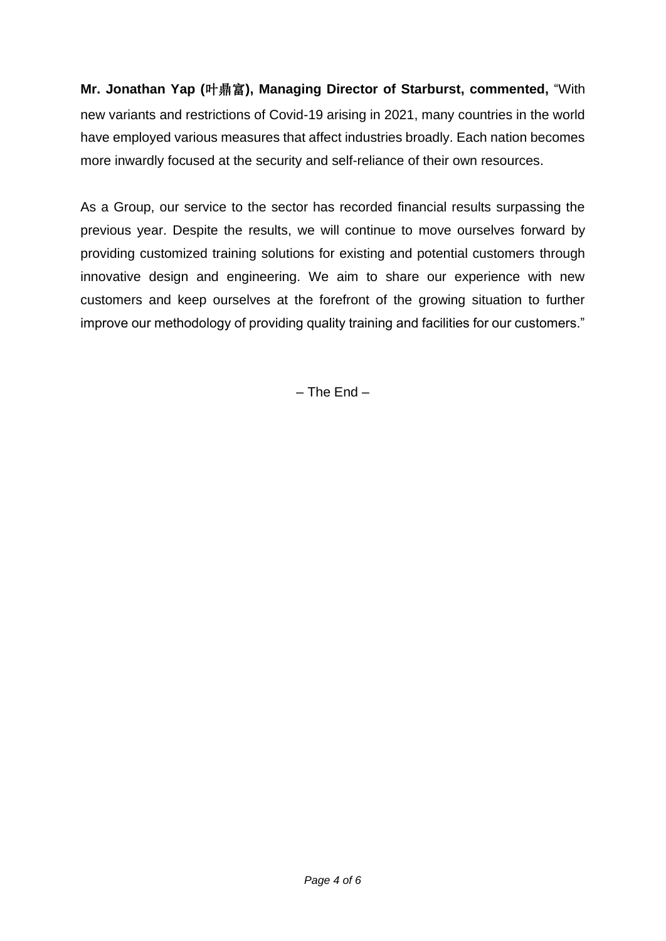**Mr. Jonathan Yap (**叶鼎富**), Managing Director of Starburst, commented,** "With new variants and restrictions of Covid-19 arising in 2021, many countries in the world have employed various measures that affect industries broadly. Each nation becomes more inwardly focused at the security and self-reliance of their own resources.

As a Group, our service to the sector has recorded financial results surpassing the previous year. Despite the results, we will continue to move ourselves forward by providing customized training solutions for existing and potential customers through innovative design and engineering. We aim to share our experience with new customers and keep ourselves at the forefront of the growing situation to further improve our methodology of providing quality training and facilities for our customers."

– The End –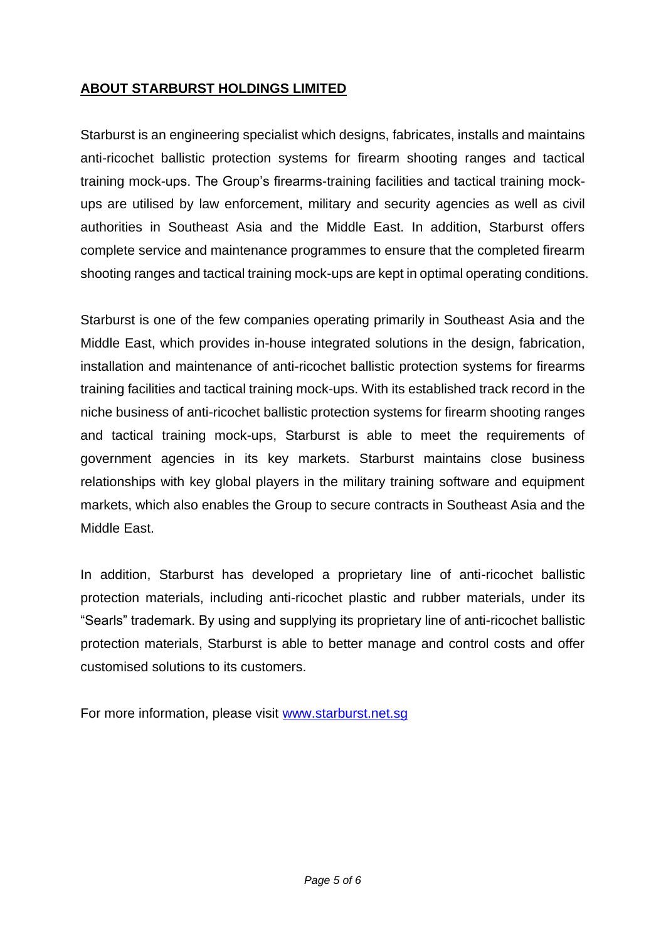## **ABOUT STARBURST HOLDINGS LIMITED**

Starburst is an engineering specialist which designs, fabricates, installs and maintains anti-ricochet ballistic protection systems for firearm shooting ranges and tactical training mock-ups. The Group's firearms-training facilities and tactical training mockups are utilised by law enforcement, military and security agencies as well as civil authorities in Southeast Asia and the Middle East. In addition, Starburst offers complete service and maintenance programmes to ensure that the completed firearm shooting ranges and tactical training mock-ups are kept in optimal operating conditions.

Starburst is one of the few companies operating primarily in Southeast Asia and the Middle East, which provides in-house integrated solutions in the design, fabrication, installation and maintenance of anti-ricochet ballistic protection systems for firearms training facilities and tactical training mock-ups. With its established track record in the niche business of anti-ricochet ballistic protection systems for firearm shooting ranges and tactical training mock-ups, Starburst is able to meet the requirements of government agencies in its key markets. Starburst maintains close business relationships with key global players in the military training software and equipment markets, which also enables the Group to secure contracts in Southeast Asia and the Middle East.

In addition, Starburst has developed a proprietary line of anti-ricochet ballistic protection materials, including anti-ricochet plastic and rubber materials, under its "Searls" trademark. By using and supplying its proprietary line of anti-ricochet ballistic protection materials, Starburst is able to better manage and control costs and offer customised solutions to its customers.

For more information, please visit [www.starburst.net.sg](http://www.starburst.net.sg/)